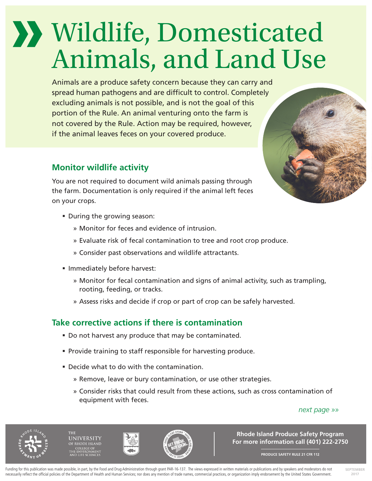# Wildlife, Domesticated Animals, and Land Use

Animals are a produce safety concern because they can carry and spread human pathogens and are difficult to control. Completely excluding animals is not possible, and is not the goal of this portion of the Rule. An animal venturing onto the farm is not covered by the Rule. Action may be required, however, if the animal leaves feces on your covered produce.

## **Monitor wildlife activity**

You are not required to document wild animals passing through the farm. Documentation is only required if the animal left feces on your crops.

- During the growing season:
	- » Monitor for feces and evidence of intrusion.
	- » Evaluate risk of fecal contamination to tree and root crop produce.
	- » Consider past observations and wildlife attractants.
- **Immediately before harvest:** 
	- » Monitor for fecal contamination and signs of animal activity, such as trampling, rooting, feeding, or tracks.
	- » Assess risks and decide if crop or part of crop can be safely harvested.

### **Take corrective actions if there is contamination**

- Do not harvest any produce that may be contaminated.
- **Provide training to staff responsible for harvesting produce.**
- Decide what to do with the contamination.
	- » Remove, leave or bury contamination, or use other strategies.
	- » Consider risks that could result from these actions, such as cross contamination of equipment with feces.

#### *next page »»*







**Rhode Island Produce Safety Program For more information call (401) 222-2750**

**PRODUCE SAFETY RULE 21 CFR 112**